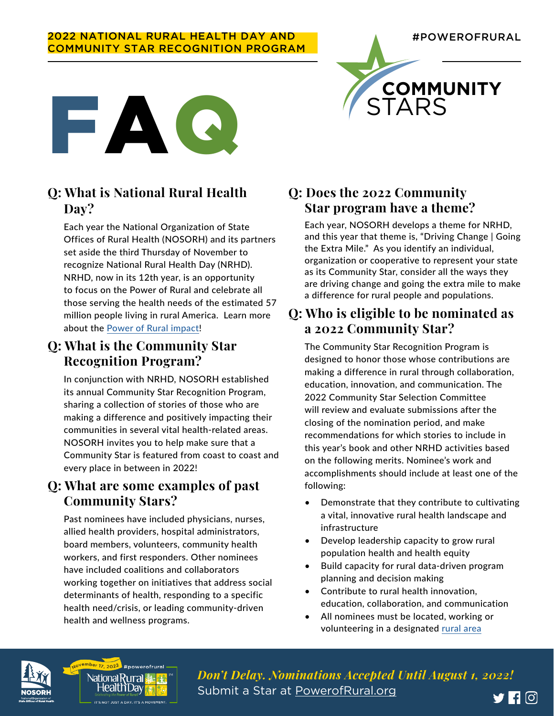#### 2022 NATIONAL RURAL HEALTH DAY AND COMMUNITY STAR RECOGNITION PROGRAM





## **Q: What is National Rural Health Day?**

Each year the National Organization of State Offices of Rural Health (NOSORH) and its partners set aside the third Thursday of November to recognize National Rural Health Day (NRHD). NRHD, now in its 12th year, is an opportunity to focus on the Power of Rural and celebrate all those serving the health needs of the estimated 57 million people living in rural America. Learn more about the [Power of Rural impact](https://www.powerofrural.org/about-nrhd/)!

## **Q: What is the Community Star Recognition Program?**

In conjunction with NRHD, NOSORH established its annual Community Star Recognition Program, sharing a collection of stories of those who are making a difference and positively impacting their communities in several vital health-related areas. NOSORH invites you to help make sure that a Community Star is featured from coast to coast and every place in between in 2022!

## **Q: What are some examples of past Community Stars?**

Past nominees have included physicians, nurses, allied health providers, hospital administrators, board members, volunteers, community health workers, and first responders. Other nominees have included coalitions and collaborators working together on initiatives that address social determinants of health, responding to a specific health need/crisis, or leading community-driven health and wellness programs.

## **Q: Does the 2022 Community Star program have a theme?**

Each year, NOSORH develops a theme for NRHD, and this year that theme is, "Driving Change | Going the Extra Mile." As you identify an individual, organization or cooperative to represent your state as its Community Star, consider all the ways they are driving change and going the extra mile to make a difference for rural people and populations.

## **Q: Who is eligible to be nominated as a 2022 Community Star?**

The Community Star Recognition Program is designed to honor those whose contributions are making a difference in rural through collaboration, education, innovation, and communication. The 2022 Community Star Selection Committee will review and evaluate submissions after the closing of the nomination period, and make recommendations for which stories to include in this year's book and other NRHD activities based on the following merits. Nominee's work and accomplishments should include at least one of the following:

- Demonstrate that they contribute to cultivating a vital, innovative rural health landscape and infrastructure
- Develop leadership capacity to grow rural population health and health equity
- Build capacity for rural data-driven program planning and decision making
- Contribute to rural health innovation, education, collaboration, and communication
- All nominees must be located, working or volunteering in a designated [rural area](https://www.ruralhealthinfo.org/am-i-rural)



#powerofrural National Rural <mark>:</mark> **Health Day** 

*Don't Delay. Nominations Accepted Until August 1, 2022!* Submit a Star at [PowerofRural.org](https://www.PowerofRural.org)

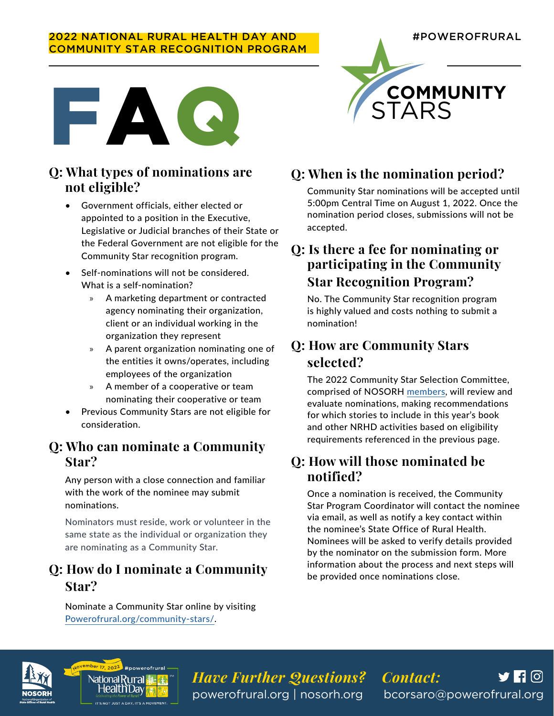#### 2022 NATIONAL RURAL HEALTH DAY AND COMMUNITY STAR RECOGNITION PROGRAM

#POWEROFRURAL



## **Q: What types of nominations are not eligible?**

- Government officials, either elected or appointed to a position in the Executive, Legislative or Judicial branches of their State or the Federal Government are not eligible for the Community Star recognition program.
- Self-nominations will not be considered. What is a self-nomination?
	- » A marketing department or contracted agency nominating their organization, client or an individual working in the organization they represent
	- » A parent organization nominating one of the entities it owns/operates, including employees of the organization
	- » A member of a cooperative or team nominating their cooperative or team
- Previous Community Stars are not eligible for consideration.

#### **Q: Who can nominate a Community Star?**

Any person with a close connection and familiar with the work of the nominee may submit nominations.

Nominators must reside, work or volunteer in the same state as the individual or organization they are nominating as a Community Star.

## **Q: How do I nominate a Community Star?**

Nominate a Community Star online by visiting [Powerofrural.org/community-stars/.](https://Powerofrural.org/community-stars/)



## **Q: When is the nomination period?**

Community Star nominations will be accepted until 5:00pm Central Time on August 1, 2022. Once the nomination period closes, submissions will not be accepted.

## **Q: Is there a fee for nominating or participating in the Community Star Recognition Program?**

No. The Community Star recognition program is highly valued and costs nothing to submit a nomination!

## **Q: How are Community Stars selected?**

The 2022 Community Star Selection Committee, comprised of NOSORH [members](https://nosorh.org/nosorh-members/nosorh-members-browse-by-state/), will review and evaluate nominations, making recommendations for which stories to include in this year's book and other NRHD activities based on eligibility requirements referenced in the previous page.

## **Q: How will those nominated be notified?**

Once a nomination is received, the Community Star Program Coordinator will contact the nominee via email, as well as notify a key contact within the nominee's State Office of Rural Health. Nominees will be asked to verify details provided by the nominator on the submission form. More information about the process and next steps will be provided once nominations close.





*Have Further Questions? Contact:* powerofrural.org | nosorh.org